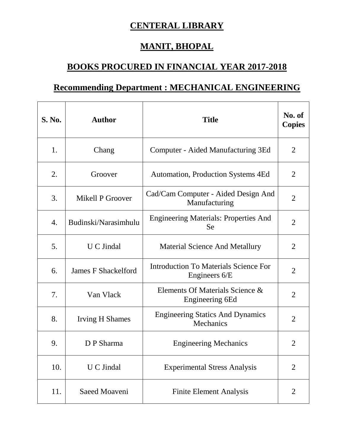## **CENTERAL LIBRARY**

## **MANIT, BHOPAL**

## **BOOKS PROCURED IN FINANCIAL YEAR 2017-2018**

## **Recommending Department : MECHANICAL ENGINEERING**

| <b>S. No.</b> | <b>Author</b>              | <b>Title</b>                                              | No. of<br><b>Copies</b> |
|---------------|----------------------------|-----------------------------------------------------------|-------------------------|
| 1.            | Chang                      | Computer - Aided Manufacturing 3Ed                        | $\overline{2}$          |
| 2.            | Groover                    | <b>Automation, Production Systems 4Ed</b>                 | 2                       |
| 3.            | Mikell P Groover           | Cad/Cam Computer - Aided Design And<br>Manufacturing      | $\overline{2}$          |
| 4.            | Budinski/Narasimhulu       | <b>Engineering Materials: Properties And</b><br><b>Se</b> | $\overline{2}$          |
| 5.            | <b>U</b> C Jindal          | Material Science And Metallury                            | $\overline{2}$          |
| 6.            | <b>James F Shackelford</b> | Introduction To Materials Science For<br>Engineers 6/E    | $\overline{2}$          |
| 7.            | Van Vlack                  | Elements Of Materials Science &<br>Engineering 6Ed        | $\overline{2}$          |
| 8.            | <b>Irving H Shames</b>     | <b>Engineering Statics And Dynamics</b><br>Mechanics      | $\overline{2}$          |
| 9.            | D P Sharma                 | <b>Engineering Mechanics</b>                              | 2                       |
| 10.           | <b>U</b> C Jindal          | <b>Experimental Stress Analysis</b>                       | $\overline{2}$          |
| 11.           | Saeed Moaveni              | <b>Finite Element Analysis</b>                            | $\overline{2}$          |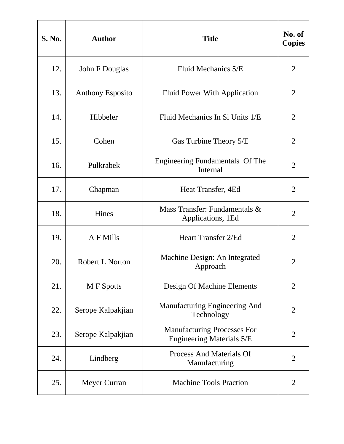| <b>S. No.</b> | <b>Author</b>           | <b>Title</b>                                                           | No. of<br><b>Copies</b> |
|---------------|-------------------------|------------------------------------------------------------------------|-------------------------|
| 12.           | John F Douglas          | Fluid Mechanics 5/E                                                    | $\overline{2}$          |
| 13.           | <b>Anthony Esposito</b> | <b>Fluid Power With Application</b>                                    | 2                       |
| 14.           | Hibbeler                | Fluid Mechanics In Si Units 1/E                                        | $\overline{2}$          |
| 15.           | Cohen                   | Gas Turbine Theory 5/E                                                 | $\overline{2}$          |
| 16.           | Pulkrabek               | Engineering Fundamentals Of The<br>Internal                            | $\overline{2}$          |
| 17.           | Chapman                 | Heat Transfer, 4Ed                                                     | $\overline{2}$          |
| 18.           | Hines                   | Mass Transfer: Fundamentals &<br>Applications, 1Ed                     | $\overline{2}$          |
| 19.           | A F Mills               | <b>Heart Transfer 2/Ed</b>                                             | $\overline{2}$          |
| 20.           | Robert L Norton         | Machine Design: An Integrated<br>Approach                              | $\overline{2}$          |
| 21.           | <b>M</b> F Spotts       | Design Of Machine Elements                                             | $\overline{2}$          |
| 22.           | Serope Kalpakjian       | Manufacturing Engineering And<br>Technology                            | $\overline{2}$          |
| 23.           | Serope Kalpakjian       | <b>Manufacturing Processes For</b><br><b>Engineering Materials 5/E</b> | $\overline{2}$          |
| 24.           | Lindberg                | <b>Process And Materials Of</b><br>Manufacturing                       | $\overline{2}$          |
| 25.           | Meyer Curran            | <b>Machine Tools Praction</b>                                          | $\overline{2}$          |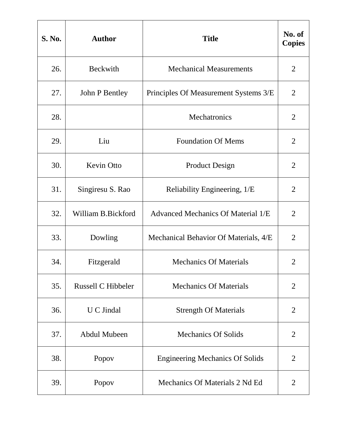| <b>S. No.</b> | <b>Author</b>       | <b>Title</b>                           | No. of<br><b>Copies</b> |
|---------------|---------------------|----------------------------------------|-------------------------|
| 26.           | <b>Beckwith</b>     | <b>Mechanical Measurements</b>         | $\overline{2}$          |
| 27.           | John P Bentley      | Principles Of Measurement Systems 3/E  | $\overline{2}$          |
| 28.           |                     | Mechatronics                           | $\overline{2}$          |
| 29.           | Liu                 | <b>Foundation Of Mems</b>              | $\overline{2}$          |
| 30.           | Kevin Otto          | <b>Product Design</b>                  | $\overline{2}$          |
| 31.           | Singiresu S. Rao    | Reliability Engineering, 1/E           | $\overline{2}$          |
| 32.           | William B.Bickford  | Advanced Mechanics Of Material 1/E     | $\overline{2}$          |
| 33.           | Dowling             | Mechanical Behavior Of Materials, 4/E  | $\overline{2}$          |
| 34.           | Fitzgerald          | <b>Mechanics Of Materials</b>          | $\overline{2}$          |
| 35.           | Russell C Hibbeler  | <b>Mechanics Of Materials</b>          | $\overline{2}$          |
| 36.           | U C Jindal          | <b>Strength Of Materials</b>           | $\overline{2}$          |
| 37.           | <b>Abdul Mubeen</b> | <b>Mechanics Of Solids</b>             | $\overline{2}$          |
| 38.           | Popov               | <b>Engineering Mechanics Of Solids</b> | $\overline{2}$          |
| 39.           | Popov               | Mechanics Of Materials 2 Nd Ed         | $\overline{2}$          |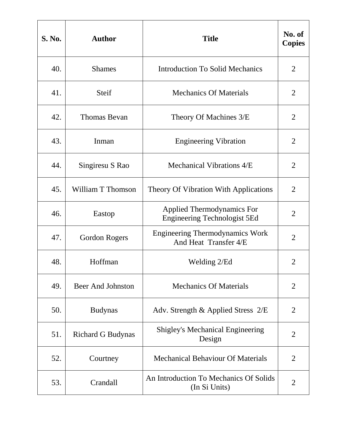| <b>S. No.</b> | <b>Author</b>            | <b>Title</b>                                                             | No. of<br><b>Copies</b> |
|---------------|--------------------------|--------------------------------------------------------------------------|-------------------------|
| 40.           | <b>Shames</b>            | <b>Introduction To Solid Mechanics</b>                                   | $\overline{2}$          |
| 41.           | Steif                    | <b>Mechanics Of Materials</b>                                            | $\overline{2}$          |
| 42.           | <b>Thomas Bevan</b>      | Theory Of Machines 3/E                                                   | $\overline{2}$          |
| 43.           | Inman                    | <b>Engineering Vibration</b>                                             | $\overline{2}$          |
| 44.           | Singiresu S Rao          | Mechanical Vibrations 4/E                                                | $\overline{2}$          |
| 45.           | <b>William T Thomson</b> | Theory Of Vibration With Applications                                    | $\overline{2}$          |
| 46.           | Eastop                   | <b>Applied Thermodynamics For</b><br><b>Engineering Technologist 5Ed</b> | $\overline{2}$          |
| 47.           | Gordon Rogers            | <b>Engineering Thermodynamics Work</b><br>And Heat Transfer 4/E          | $\overline{2}$          |
| 48.           | Hoffman                  | Welding 2/Ed                                                             | $\overline{2}$          |
| 49.           | <b>Beer And Johnston</b> | <b>Mechanics Of Materials</b>                                            | $\overline{2}$          |
| 50.           | <b>Budynas</b>           | Adv. Strength & Applied Stress 2/E                                       | $\overline{2}$          |
| 51.           | <b>Richard G Budynas</b> | <b>Shigley's Mechanical Engineering</b><br>Design                        | $\overline{2}$          |
| 52.           | Courtney                 | <b>Mechanical Behaviour Of Materials</b>                                 | $\overline{2}$          |
| 53.           | Crandall                 | An Introduction To Mechanics Of Solids<br>(In Si Units)                  | $\overline{2}$          |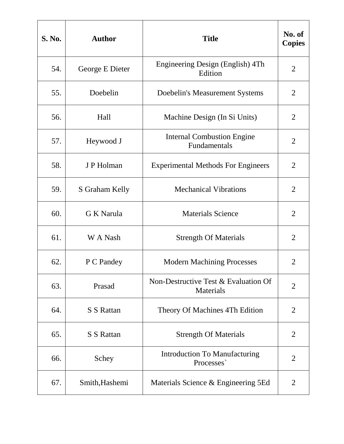| <b>S. No.</b> | <b>Author</b>     | <b>Title</b>                                      | No. of<br><b>Copies</b> |
|---------------|-------------------|---------------------------------------------------|-------------------------|
| 54.           | George E Dieter   | Engineering Design (English) 4Th<br>Edition       | $\overline{2}$          |
| 55.           | Doebelin          | Doebelin's Measurement Systems                    | $\overline{2}$          |
| 56.           | Hall              | Machine Design (In Si Units)                      | $\overline{2}$          |
| 57.           | Heywood J         | <b>Internal Combustion Engine</b><br>Fundamentals | $\overline{2}$          |
| 58.           | J P Holman        | <b>Experimental Methods For Engineers</b>         | $\overline{2}$          |
| 59.           | S Graham Kelly    | <b>Mechanical Vibrations</b>                      | $\overline{2}$          |
| 60.           | G K Narula        | <b>Materials Science</b>                          | $\overline{2}$          |
| 61.           | W A Nash          | <b>Strength Of Materials</b>                      | $\overline{2}$          |
| 62.           | P C Pandey        | <b>Modern Machining Processes</b>                 | $\overline{2}$          |
| 63.           | Prasad            | Non-Destructive Test & Evaluation Of<br>Materials | $\overline{2}$          |
| 64.           | <b>S S Rattan</b> | Theory Of Machines 4Th Edition                    | $\overline{2}$          |
| 65.           | S S Rattan        | <b>Strength Of Materials</b>                      | $\overline{2}$          |
| 66.           | Schey             | <b>Introduction To Manufacturing</b><br>Processes | $\overline{2}$          |
| 67.           | Smith, Hashemi    | Materials Science & Engineering 5Ed               | 2                       |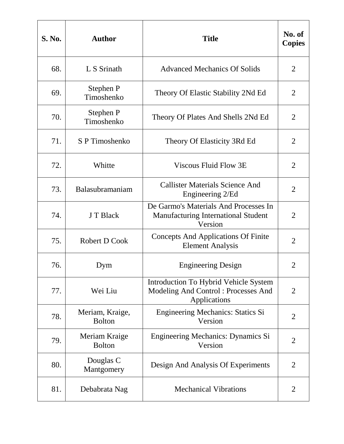| <b>S. No.</b> | <b>Author</b>                    | <b>Title</b>                                                                                        | No. of<br><b>Copies</b> |
|---------------|----------------------------------|-----------------------------------------------------------------------------------------------------|-------------------------|
| 68.           | L S Srinath                      | <b>Advanced Mechanics Of Solids</b>                                                                 | $\overline{2}$          |
| 69.           | Stephen P<br>Timoshenko          | Theory Of Elastic Stability 2Nd Ed                                                                  | 2                       |
| 70.           | Stephen P<br>Timoshenko          | Theory Of Plates And Shells 2Nd Ed                                                                  | $\overline{2}$          |
| 71.           | S P Timoshenko                   | Theory Of Elasticity 3Rd Ed                                                                         | $\overline{2}$          |
| 72.           | Whitte                           | Viscous Fluid Flow 3E                                                                               | $\overline{2}$          |
| 73.           | Balasubramaniam                  | <b>Callister Materials Science And</b><br>Engineering 2/Ed                                          | $\overline{2}$          |
| 74.           | J T Black                        | De Garmo's Materials And Processes In<br>Manufacturing International Student<br>Version             | $\overline{2}$          |
| 75.           | Robert D Cook                    | <b>Concepts And Applications Of Finite</b><br><b>Element Analysis</b>                               | $\overline{2}$          |
| 76.           | Dym                              | <b>Engineering Design</b>                                                                           | $\overline{2}$          |
| 77.           | Wei Liu                          | <b>Introduction To Hybrid Vehicle System</b><br>Modeling And Control: Processes And<br>Applications | $\overline{2}$          |
| 78.           | Meriam, Kraige,<br><b>Bolton</b> | Engineering Mechanics: Statics Si<br>Version                                                        | $\overline{2}$          |
| 79.           | Meriam Kraige<br><b>Bolton</b>   | Engineering Mechanics: Dynamics Si<br>Version                                                       | $\overline{2}$          |
| 80.           | Douglas C<br>Mantgomery          | Design And Analysis Of Experiments                                                                  | $\overline{2}$          |
| 81.           | Debabrata Nag                    | <b>Mechanical Vibrations</b>                                                                        | $\overline{2}$          |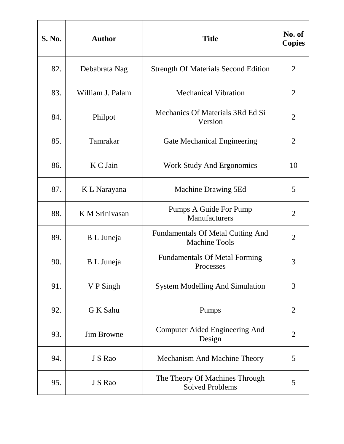| <b>S. No.</b> | <b>Author</b>     | <b>Title</b>                                                     | No. of<br><b>Copies</b> |
|---------------|-------------------|------------------------------------------------------------------|-------------------------|
| 82.           | Debabrata Nag     | <b>Strength Of Materials Second Edition</b>                      | $\overline{2}$          |
| 83.           | William J. Palam  | <b>Mechanical Vibration</b>                                      | $\overline{2}$          |
| 84.           | Philpot           | Mechanics Of Materials 3Rd Ed Si<br>Version                      | $\overline{2}$          |
| 85.           | Tamrakar          | <b>Gate Mechanical Engineering</b>                               | $\overline{2}$          |
| 86.           | K C Jain          | <b>Work Study And Ergonomics</b>                                 | 10                      |
| 87.           | K L Narayana      | Machine Drawing 5Ed                                              | 5                       |
| 88.           | K M Srinivasan    | Pumps A Guide For Pump<br>Manufacturers                          | $\overline{2}$          |
| 89.           | B L Juneja        | <b>Fundamentals Of Metal Cutting And</b><br><b>Machine Tools</b> | $\overline{2}$          |
| 90.           | B L Juneja        | <b>Fundamentals Of Metal Forming</b><br>Processes                | 3                       |
| 91.           | V P Singh         | <b>System Modelling And Simulation</b>                           | 3                       |
| 92.           | G K Sahu          | Pumps                                                            | $\overline{2}$          |
| 93.           | <b>Jim Browne</b> | Computer Aided Engineering And<br>Design                         | $\overline{2}$          |
| 94.           | J S Rao           | <b>Mechanism And Machine Theory</b>                              | 5                       |
| 95.           | J S Rao           | The Theory Of Machines Through<br><b>Solved Problems</b>         | 5                       |